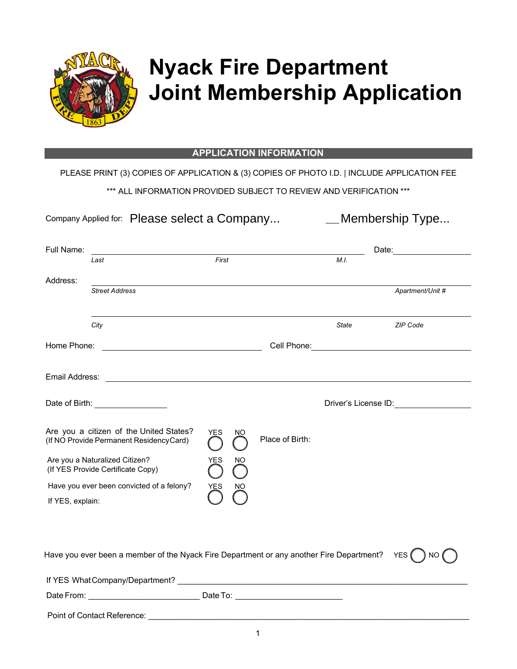

## **Nyack Fire Department Joint Membership Application**

## **APPLICATION INFORMATION**

PLEASE PRINT (3) COPIES OF APPLICATION & (3) COPIES OF PHOTO I.D. | INCLUDE APPLICATION FEE

\*\*\* ALL INFORMATION PROVIDED SUBJECT TO REVIEW AND VERIFICATION \*\*\*

Company Applied for: Please select a Company... \_\_\_\_\_\_\_\_\_Membership Type...

| Full Name:       |                                                                                          |                   |                 |              | Date:                                    |
|------------------|------------------------------------------------------------------------------------------|-------------------|-----------------|--------------|------------------------------------------|
|                  | Last                                                                                     | First             |                 | M.I.         |                                          |
| Address:         |                                                                                          |                   |                 |              |                                          |
|                  | <b>Street Address</b>                                                                    |                   |                 |              | Apartment/Unit #                         |
|                  |                                                                                          |                   |                 |              |                                          |
|                  | City                                                                                     |                   |                 | <b>State</b> | <b>ZIP Code</b>                          |
| Home Phone:      |                                                                                          |                   |                 |              |                                          |
|                  |                                                                                          |                   |                 |              |                                          |
|                  | Date of Birth: _________________                                                         |                   |                 |              | Driver's License ID: ___________________ |
|                  | Are you a citizen of the United States?<br>(If NO Provide Permanent Residency Card)      | <b>YES</b><br>NO. | Place of Birth: |              |                                          |
|                  | Are you a Naturalized Citizen?<br>(If YES Provide Certificate Copy)                      | YES<br>ΝO         |                 |              |                                          |
|                  | Have you ever been convicted of a felony?                                                | YES<br>NO         |                 |              |                                          |
| If YES, explain: |                                                                                          |                   |                 |              |                                          |
|                  |                                                                                          |                   |                 |              |                                          |
|                  | Have you ever been a member of the Nyack Fire Department or any another Fire Department? |                   |                 |              | YES (<br>NO.                             |
|                  |                                                                                          |                   |                 |              |                                          |
|                  |                                                                                          |                   |                 |              |                                          |

Point of Contact Reference: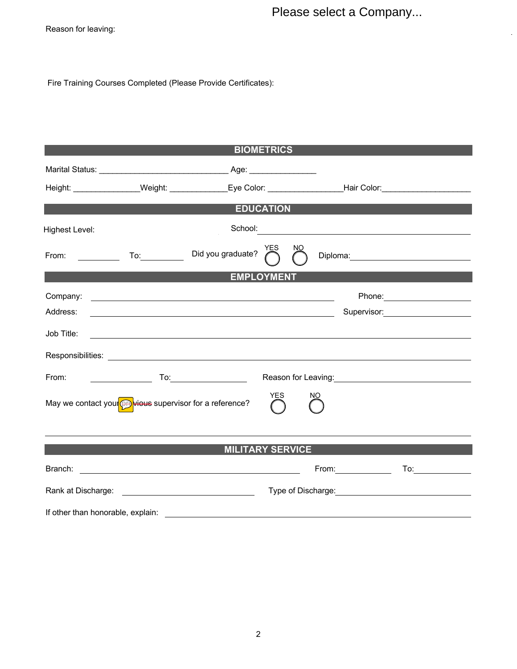Please select a Company...

 $\hat{\mathcal{A}}$ 

Reason for leaving:

Fire Training Courses Completed (Please Provide Certificates):

|                |                                                                                    | <b>BIOMETRICS</b>                                                                                                     |     |     |                       |                                                                                                                                                                                                                               |
|----------------|------------------------------------------------------------------------------------|-----------------------------------------------------------------------------------------------------------------------|-----|-----|-----------------------|-------------------------------------------------------------------------------------------------------------------------------------------------------------------------------------------------------------------------------|
|                |                                                                                    |                                                                                                                       |     |     |                       |                                                                                                                                                                                                                               |
|                |                                                                                    | Height: _________________Weight: ______________Eye Color: _____________________Hair Color: ___________________        |     |     |                       |                                                                                                                                                                                                                               |
|                |                                                                                    | <b>EDUCATION</b>                                                                                                      |     |     |                       |                                                                                                                                                                                                                               |
| Highest Level: |                                                                                    | School:                                                                                                               |     |     |                       |                                                                                                                                                                                                                               |
|                | From: To: To:                                                                      | YES<br>Did you graduate?                                                                                              | NO. |     |                       | Diploma: 2000 Company Company Company Company Company Company Company Company Company Company Company Company Company Company Company Company Company Company Company Company Company Company Company Company Company Company |
|                |                                                                                    | <b>EMPLOYMENT</b>                                                                                                     |     |     |                       |                                                                                                                                                                                                                               |
| Company:       |                                                                                    | <u> 1989 - Johann Harry Harry Harry Harry Harry Harry Harry Harry Harry Harry Harry Harry Harry Harry Harry Harry</u> |     |     |                       |                                                                                                                                                                                                                               |
| Address:       |                                                                                    |                                                                                                                       |     |     |                       | Supervisor: 2000                                                                                                                                                                                                              |
| Job Title:     |                                                                                    | ,我们也不会有什么。""我们的人,我们也不会有什么?""我们的人,我们也不会有什么?""我们的人,我们也不会有什么?""我们的人,我们也不会有什么?""我们的人                                      |     |     |                       |                                                                                                                                                                                                                               |
|                |                                                                                    |                                                                                                                       |     |     |                       |                                                                                                                                                                                                                               |
| From:          | $\overline{\phantom{a}}$ To: $\overline{\phantom{a}}$ To: $\overline{\phantom{a}}$ |                                                                                                                       |     |     |                       |                                                                                                                                                                                                                               |
|                | May we contact your <b>OB</b> wieus supervisor for a reference?                    | <b>YES</b>                                                                                                            |     | NO. |                       |                                                                                                                                                                                                                               |
|                |                                                                                    | <b>MILITARY SERVICE</b>                                                                                               |     |     |                       |                                                                                                                                                                                                                               |
|                |                                                                                    |                                                                                                                       |     |     | From: $\qquad \qquad$ | To:_____________                                                                                                                                                                                                              |
|                |                                                                                    |                                                                                                                       |     |     |                       |                                                                                                                                                                                                                               |
|                |                                                                                    |                                                                                                                       |     |     |                       |                                                                                                                                                                                                                               |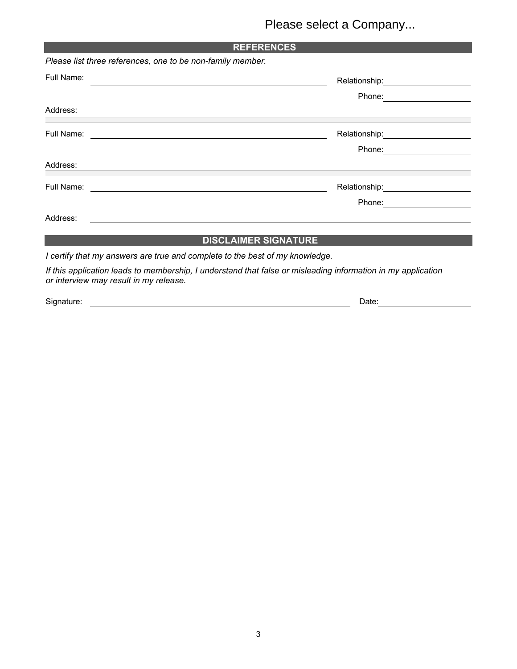## Please select a Company...

| <b>REFERENCES</b>                                                                                                                |                                      |  |  |  |
|----------------------------------------------------------------------------------------------------------------------------------|--------------------------------------|--|--|--|
| Please list three references, one to be non-family member.                                                                       |                                      |  |  |  |
| Full Name:                                                                                                                       | Relationship:_______________________ |  |  |  |
| Address:<br><u> 2000 - 2000 - 2000 - 2000 - 2000 - 2000 - 2000 - 2000 - 2000 - 2000 - 2000 - 2000 - 2000 - 2000 - 2000 - 200</u> |                                      |  |  |  |
| ,我们也不能在这里的时候,我们也不能在这里的时候,我们也不能会在这里的时候,我们也不能会在这里的时候,我们也不能会在这里的时候,我们也不能会在这里的时候,我们也                                                 | Relationship: 2000                   |  |  |  |
| Address:<br><u> 1989 - Johann Stoff, amerikansk politiker (d. 1989)</u>                                                          |                                      |  |  |  |
| Full Name: <u>_________________________________</u>                                                                              |                                      |  |  |  |
| Address:                                                                                                                         |                                      |  |  |  |
|                                                                                                                                  | <b>DISCLAIMER SIGNATURE</b>          |  |  |  |
| $\mathbf{r}$ and $\mathbf{r}$                                                                                                    | .                                    |  |  |  |

*I certify that my answers are true and complete to the best of my knowledge.*

*If this application leads to membership, I understand that false or misleading information in my application or interview may result in my release.*

Signature: <u>Date:</u> Date: Date: Date: Date: Date: Date: Date: Date: Date: Date: Date: Date: Date: Date: Date: Date: Date: Date: Date: Date: Date: Date: Date: Date: Date: Date: Date: Date: Date: Date: Date: Date: Date: Date: